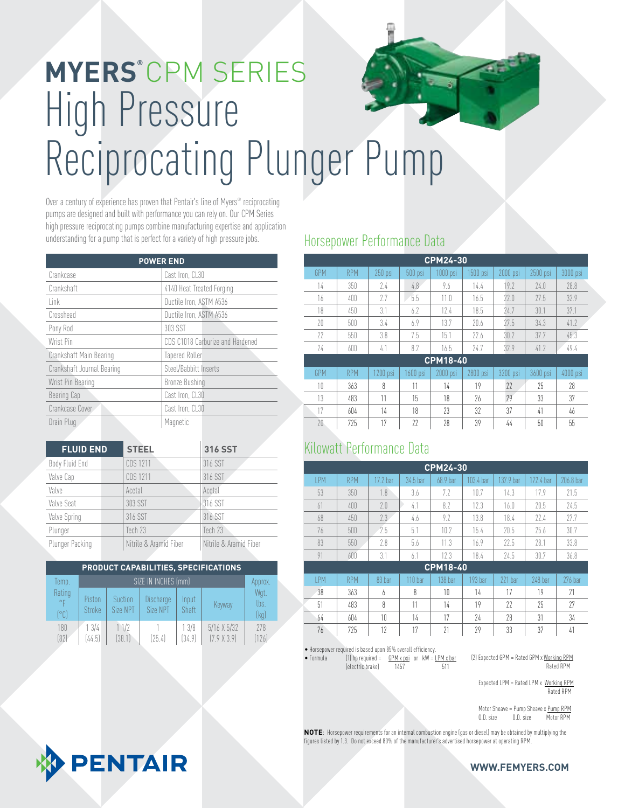# High Pressure Reciprocating Plunger Pump **MYERS®** CPM SERIES

Over a century of experience has proven that Pentair's line of Myers® reciprocating pumps are designed and built with performance you can rely on. Our CPM Series high pressure reciprocating pumps combine manufacturing expertise and application understanding for a pump that is perfect for a variety of high pressure jobs.

| <b>POWER END</b>           |                                  |  |  |  |  |  |
|----------------------------|----------------------------------|--|--|--|--|--|
| Crankcase                  | Cast Iron, CL30                  |  |  |  |  |  |
| Crankshaft                 | 4140 Heat Treated Forging        |  |  |  |  |  |
| link                       | Ductile Iron, ASTM A536          |  |  |  |  |  |
| Crosshead                  | Ductile Iron, ASTM A536          |  |  |  |  |  |
| Pony Rod                   | 303 SST                          |  |  |  |  |  |
| Wrist Pin                  | CDS C1018 Carburize and Hardened |  |  |  |  |  |
| Crankshaft Main Bearing    | <b>Tapered Roller</b>            |  |  |  |  |  |
| Crankshaft Journal Bearing | Steel/Babbitt Inserts            |  |  |  |  |  |
| Wrist Pin Bearing          | <b>Bronze Bushing</b>            |  |  |  |  |  |
| Bearing Cap                | Cast Iron, CL30                  |  |  |  |  |  |
| Crankcase Cover            | Cast Iron, CL30                  |  |  |  |  |  |
| Drain Plug                 | Magnetic                         |  |  |  |  |  |

| <b>FLUID END</b> | <b>STEEL</b>           | 316 SST                |
|------------------|------------------------|------------------------|
| Body Fluid End   | <b>CDS 1211</b>        | 316 SST                |
| Valve Cap        | CDS 1211               | 316 SST                |
| Valve            | Acetal                 | Acetal                 |
| Valve Seat       | 303 SST                | 316 SST                |
| Valve Spring     | 316 SST                | 316 SST                |
| Plunger          | Tech 23                | Tech 23                |
| Plunger Packing  | Nitrile & Aramid Fiber | Nitrile & Aramid Fiber |

| PRODUCT CAPABILITIES, SPECIFICATIONS |                  |                     |                       |                |                                       |                      |  |  |
|--------------------------------------|------------------|---------------------|-----------------------|----------------|---------------------------------------|----------------------|--|--|
| Temp.                                |                  | Approx.             |                       |                |                                       |                      |  |  |
| Rating<br>$^{\circ}$ F<br>[°C]       | Piston<br>Stroke | Suction<br>Size NPT | Discharge<br>Size NPT | Input<br>Shaft | Keyway                                | Wgt.<br>lbs.<br>(kq) |  |  |
| 180<br>(82)                          | 13/4<br>(44.5)   | 11/2<br>[38.1]      | [25.4]                | 13/8<br>(34.9) | $5/16$ X $5/32$<br>$(7.9 \times 3.9)$ | 278<br>[126]         |  |  |

### Horsepower Performance Data

| <b>CPM24-30</b> |            |           |          |                 |          |          |            |          |
|-----------------|------------|-----------|----------|-----------------|----------|----------|------------|----------|
| GPM             | <b>RPM</b> | $250$ psi | 500 psi  | $1000$ psi      | 1500 psi | 2000 psi | $2500$ psi | 3000 psi |
| 14              | 350        | 2.4       | 4.8      | 9.6             | 14.4     | 19.7     | 24.0       | 28.8     |
| 16              | 400        | 7.7       | 5.5      | 11.0            | 16.5     | 77.0     | 77.5       | 32.9     |
| 18              | 450        | 3.1       | 6.7      | 12.4            | 18.5     | 24.7     | 30.1       | 37.1     |
| 20              | 500        | 3.4       | 6.9      | 13.7            | 70.6     | 77.5     | 34.3       | 41.2     |
| 77              | 550        | 3.8       | 7.5      | 15.1            | 77.6     | 30.7     | 37.7       | 45.3     |
| 74              | 600        | 4.1       | 8.7      | 16.5            | 74.7     | 32.9     | 41.2       | 49.4     |
|                 |            |           |          | <b>CPM18-40</b> |          |          |            |          |
| GPM             | <b>RPM</b> | 1200 psi  | 1600 psi | 2000 psi        | 2800 psi | 3200 psi | 3600 psi   | 4000 psi |
| 10              | 363        | 8         | 11       | 14              | 19       | 77       | 25         | 28       |
| 13              | 483        | 11        | 15       | 18              | 26       | 29       | 33         | 37       |
| 17              | 604        | 14        | 18       | 23              | 32       | 37       | 41         | 46       |
| 20              | 725        | 17        | 22       | 28              | 39       | 44       | 50         | 55       |

#### Kilowatt Performance Data

| <b>CPM24-30</b> |            |          |                    |          |           |           |                |           |
|-----------------|------------|----------|--------------------|----------|-----------|-----------|----------------|-----------|
| <b>IPM</b>      | <b>RPM</b> | 17.2 bar | 34.5 bar           | 68.9 bar | 103.4 bar | 137.9 har | 172.4 har      | 206.8 har |
| 53              | 350        | 1.8      | 3.6                | 7.7      | 10.7      | 14.3      | 17.9           | 71.5      |
| 61              | 400        | 2.0      | 4.1                | 8.2      | 12.3      | 16.0      | 20.5           | 24.5      |
| 68              | 450        | 2.3      | 4.6                | 9.7      | 13.8      | 18.4      | 22.4           | 77.7      |
| 76              | 500        | 7.5      | 5.1                | 10.7     | 15.4      | 20.5      | 75.6           | 30.7      |
| 83              | 550        | 2.8      | 5.6                | 11.3     | 16.9      | 77.5      | 28.1           | 33.8      |
| 91              | 600        | 3.1      | 6.1                | 12.3     | 18.4      | 24.5      | 30.7           | 36.8      |
| <b>CPM18-40</b> |            |          |                    |          |           |           |                |           |
| <b>IPM</b>      | <b>RPM</b> | 83 bar   | 110 <sub>bar</sub> | 138 har  | 193 bar   | $221$ bar | <b>248 har</b> | 276 har   |
| 38              | 363        | 6        | 8                  | 10       | 14        | 17        | 19             | 71        |
| 51              | 483        | 8        | 11                 | 14       | 19        | 22        | 25             | 27        |

64 604 10 14 17 24 28 31 34 76 725 12 17 21 29 33 37 41

• Horsepower required is based upon 85% overall efficiency.

• Formula (1) hp required =  $\frac{GPM \times psi}{1457}$  or  $kW = \frac{LPM \times bar}{511}$ (electric brake) 1457 511

(2) Expected GPM = Rated GPM x Working RPM Rated RPM

Expected LPM = Rated LPM x Working RPM Rated RPM

Motor Sheave = Pump Sheave x <u>Pump RPM</u><br>0.D. size 0.D. size Motor RPM O.D. size Motor RPM

**NOTE**: Horsepower requirements for an internal combustion engine (gas or diesel) may be obtained by multiplying the figures listed by 1.3. Do not exceed 80% of the manufacturer's advertised horsepower at operating RPM.



**WWW.FEMYERS.COM**